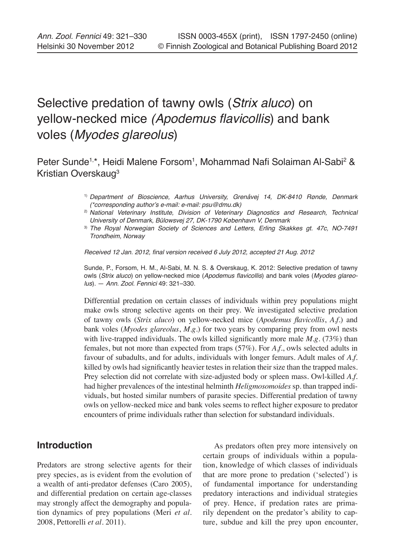# Selective predation of tawny owls (Strix aluco) on yellow-necked mice (Apodemus flavicollis) and bank voles (Myodes glareolus)

Peter Sunde<sup>1,\*</sup>, Heidi Malene Forsom<sup>1</sup>, Mohammad Nafi Solaiman Al-Sabi<sup>2</sup> & Kristian Overskaug3

- 1) Department of Bioscience, Aarhus University, Grenåvej 14, DK-8410 Rønde, Denmark (\*corresponding author's e-mail: e-mail: psu@dmu.dk)
- <sup>2)</sup> National Veterinary Institute, Division of Veterinary Diagnostics and Research, Technical University of Denmark, Bülowsvej 27, DK-1790 København V, Denmark
- <sup>3)</sup> The Royal Norwegian Society of Sciences and Letters, Erling Skakkes gt. 47c, NO-7491 Trondheim, Norway

Received 12 Jan. 2012, final version received 6 July 2012, accepted 21 Aug. 2012

Sunde, P., Forsom, H. M., Al-Sabi, M. N. S. & Overskaug, K. 2012: Selective predation of tawny owls (Strix aluco) on yellow-necked mice (Apodemus flavicollis) and bank voles (Myodes glareolus). — Ann. Zool. Fennici 49: 321–330.

Differential predation on certain classes of individuals within prey populations might make owls strong selective agents on their prey. We investigated selective predation of tawny owls (*Strix aluco*) on yellow-necked mice (*Apodemus flavicollis*, *A.f.*) and bank voles (*Myodes glareolus*, *M.g.*) for two years by comparing prey from owl nests with live-trapped individuals. The owls killed significantly more male *M.g*. (73%) than females, but not more than expected from traps (57%). For *A.f.*, owls selected adults in favour of subadults, and for adults, individuals with longer femurs. Adult males of *A.f.* killed by owls had significantly heavier testes in relation their size than the trapped males. Prey selection did not correlate with size-adjusted body or spleen mass. Owl-killed *A.f.* had higher prevalences of the intestinal helminth *Heligmosomoides* sp. than trapped individuals, but hosted similar numbers of parasite species. Differential predation of tawny owls on yellow-necked mice and bank voles seems to reflect higher exposure to predator encounters of prime individuals rather than selection for substandard individuals.

# **Introduction**

Predators are strong selective agents for their prey species, as is evident from the evolution of a wealth of anti-predator defenses (Caro 2005), and differential predation on certain age-classes may strongly affect the demography and population dynamics of prey populations (Meri *et al.* 2008, Pettorelli *et al.* 2011).

As predators often prey more intensively on certain groups of individuals within a population, knowledge of which classes of individuals that are more prone to predation ('selected') is of fundamental importance for understanding predatory interactions and individual strategies of prey. Hence, if predation rates are primarily dependent on the predator's ability to capture, subdue and kill the prey upon encounter,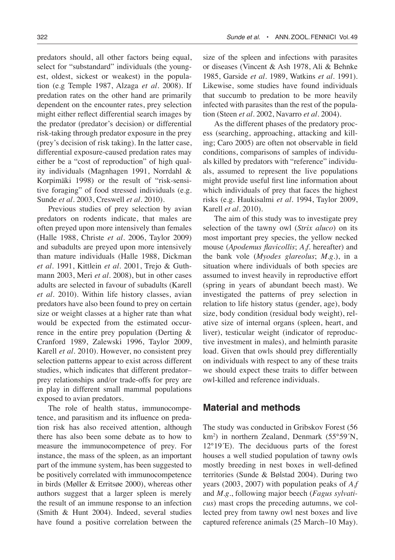predators should, all other factors being equal, select for "substandard" individuals (the youngest, oldest, sickest or weakest) in the population (e.g Temple 1987, Alzaga *et al.* 2008). If predation rates on the other hand are primarily dependent on the encounter rates, prey selection might either reflect differential search images by the predator (predator's decision) or differential risk-taking through predator exposure in the prey (prey's decision of risk taking). In the latter case, differential exposure-caused predation rates may either be a "cost of reproduction" of high quality individuals (Magnhagen 1991, Norrdahl & Korpimäki 1998) or the result of "risk-sensitive foraging" of food stressed individuals (e.g. Sunde *et al.* 2003, Creswell *et al.* 2010).

Previous studies of prey selection by avian predators on rodents indicate, that males are often preyed upon more intensively than females (Halle 1988, Christe *et al.* 2006, Taylor 2009) and subadults are preyed upon more intensively than mature individuals (Halle 1988, Dickman *et al.* 1991, Kittlein *et al.* 2001, Trejo & Guthmann 2003, Meri *et al.* 2008), but in other cases adults are selected in favour of subadults (Karell *et al.* 2010). Within life history classes, avian predators have also been found to prey on certain size or weight classes at a higher rate than what would be expected from the estimated occurrence in the entire prey population (Derting & Cranford 1989, Zalewski 1996, Taylor 2009, Karell *et al.* 2010). However, no consistent prey selection patterns appear to exist across different studies, which indicates that different predator– prey relationships and/or trade-offs for prey are in play in different small mammal populations exposed to avian predators.

The role of health status, immunocompetence, and parasitism and its influence on predation risk has also received attention, although there has also been some debate as to how to measure the immunocompetence of prey. For instance, the mass of the spleen, as an important part of the immune system, has been suggested to be positively correlated with immunocompetence in birds (Møller & Erritsøe 2000), whereas other authors suggest that a larger spleen is merely the result of an immune response to an infection (Smith & Hunt 2004). Indeed, several studies have found a positive correlation between the size of the spleen and infections with parasites or diseases (Vincent & Ash 1978, Ali & Behnke 1985, Garside *et al.* 1989, Watkins *et al.* 1991). Likewise, some studies have found individuals that succumb to predation to be more heavily infected with parasites than the rest of the population (Steen *et al.* 2002, Navarro *et al.* 2004).

As the different phases of the predatory process (searching, approaching, attacking and killing; Caro 2005) are often not observable in field conditions, comparisons of samples of individuals killed by predators with "reference" individuals, assumed to represent the live populations might provide useful first line information about which individuals of prey that faces the highest risks (e.g. Haukisalmi *et al.* 1994, Taylor 2009, Karell *et al.* 2010).

The aim of this study was to investigate prey selection of the tawny owl (*Strix aluco*) on its most important prey species, the yellow necked mouse (*Apodemus flavicollis*; *A.f.* hereafter) and the bank vole (*Myodes glareolus*; *M.g.*), in a situation where individuals of both species are assumed to invest heavily in reproductive effort (spring in years of abundant beech mast). We investigated the patterns of prey selection in relation to life history status (gender, age), body size, body condition (residual body weight), relative size of internal organs (spleen, heart, and liver), testicular weight (indicator of reproductive investment in males), and helminth parasite load. Given that owls should prey differentially on individuals with respect to any of these traits we should expect these traits to differ between owl-killed and reference individuals.

## **Material and methods**

The study was conducted in Gribskov Forest (56 km2 ) in northern Zealand, Denmark (55°59´N, 12°19´E). The deciduous parts of the forest houses a well studied population of tawny owls mostly breeding in nest boxes in well-defined territories (Sunde & Bølstad 2004). During two years (2003, 2007) with population peaks of *A.f* and *M.g.*, following major beech (*Fagus sylvaticus*) mast crops the preceding autumns, we collected prey from tawny owl nest boxes and live captured reference animals (25 March–10 May).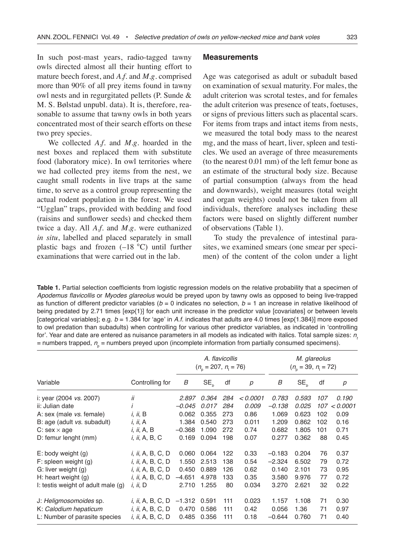In such post-mast years, radio-tagged tawny owls directed almost all their hunting effort to mature beech forest, and *A.f.* and *M.g.* comprised more than 90% of all prey items found in tawny owl nests and in regurgitated pellets (P. Sunde & M. S. Bølstad unpubl. data). It is, therefore, reasonable to assume that tawny owls in both years concentrated most of their search efforts on these two prey species.

We collected *A.f.* and *M.g.* hoarded in the nest boxes and replaced them with substitute food (laboratory mice). In owl territories where we had collected prey items from the nest, we caught small rodents in live traps at the same time, to serve as a control group representing the actual rodent population in the forest. We used "Ugglan" traps, provided with bedding and food (raisins and sunflower seeds) and checked them twice a day. All *A.f.* and *M.g.* were euthanized *in situ*, labelled and placed separately in small plastic bags and frozen  $(-18 \degree C)$  until further examinations that were carried out in the lab.

#### **Measurements**

Age was categorised as adult or subadult based on examination of sexual maturity. For males, the adult criterion was scrotal testes, and for females the adult criterion was presence of teats, foetuses, or signs of previous litters such as placental scars. For items from traps and intact items from nests, we measured the total body mass to the nearest mg, and the mass of heart, liver, spleen and testicles. We used an average of three measurements (to the nearest 0.01 mm) of the left femur bone as an estimate of the structural body size. Because of partial consumption (always from the head and downwards), weight measures (total weight and organ weights) could not be taken from all individuals, therefore analyses including these factors were based on slightly different number of observations (Table 1).

To study the prevalence of intestinal parasites, we examined smears (one smear per specimen) of the content of the colon under a light

**Table 1.** Partial selection coefficients from logistic regression models on the relative probability that a specimen of Apodemus flavicollis or Myodes glareolus would be preyed upon by tawny owls as opposed to being live-trapped as function of different predictor variables ( $b = 0$  indicates no selection,  $b = 1$  an increase in relative likelihood of being predated by 2.71 times [exp{1}] for each unit increase in the predictor value [covariates] or between levels [categorical variables]; e.g.  $b = 1.384$  for 'age' in A.f. indicates that adults are 4.0 times [exp{1.384}] more exposed to owl predation than subadults) when controlling for various other predictor variables, as indicated in 'controlling for'. Year and date are entered as nuisance parameters in all models as indicated with italics. Total sample sizes:  $n_k$ = numbers trapped,  $n_{\rho}$  = numbers preyed upon (incomplete information from partially consumed specimens).

|                                      |                          | A. flavicollis<br>$(n_{\rm n} = 207, n_{\rm n} = 76)$ |                 |     |          | M. glareolus<br>$(n_{\rm n} = 39, n_{\rm n} = 72)$ |                 |     |          |
|--------------------------------------|--------------------------|-------------------------------------------------------|-----------------|-----|----------|----------------------------------------------------|-----------------|-----|----------|
| Variable                             | Controlling for          | В                                                     | SE <sub>b</sub> | df  | p        | В                                                  | SE <sub>b</sub> | df  | р        |
| i: year (2004 vs. 2007)              | ii                       | 2.897                                                 | 0.364           | 284 | < 0.0001 | 0.783                                              | 0.593           | 107 | 0.190    |
| ii: Julian date                      |                          | $-0.045$                                              | 0.017           | 284 | 0.009    | $-0.138$                                           | 0.025           | 107 | < 0.0001 |
| A: sex (male vs. female)             | i, ii, B                 | 0.062                                                 | 0.355           | 273 | 0.86     | 1.069                                              | 0.623           | 102 | 0.09     |
| B: age (adult vs. subadult)          | <i>i, ii,</i> A          | 1.384                                                 | 0.540           | 273 | 0.011    | 1.209                                              | 0.862           | 102 | 0.16     |
| C: sex $\times$ age                  | <i>i, ii, A, B</i>       | $-0.368$                                              | 1.090           | 272 | 0.74     | 0.682                                              | 1.805           | 101 | 0.71     |
| D: femur lenght (mm)                 | <i>i, ii, A, B, C</i>    | 0.169                                                 | 0.094           | 198 | 0.07     | 0.277                                              | 0.362           | 88  | 0.45     |
| $E:$ body weight $(g)$               | <i>i, ii, A, B, C, D</i> | 0.060                                                 | 0.064           | 122 | 0.33     | $-0.183$                                           | 0.204           | 76  | 0.37     |
| $F:$ spleen weight $(q)$             | <i>i, ii, A, B, C, D</i> | 1.550                                                 | 2.513           | 138 | 0.54     | $-2.324$                                           | 6.502           | 79  | 0.72     |
| G: liver weight (g)                  | <i>i, ii, A, B, C, D</i> | 0.450                                                 | 0.889           | 126 | 0.62     | 0.140                                              | 2.101           | 73  | 0.95     |
| H: heart weight $(g)$                | <i>i, ii, A, B, C, D</i> | $-4.651$                                              | 4.978           | 133 | 0.35     | 3.580                                              | 9.976           | 77  | 0.72     |
| I: testis weight of adult male $(q)$ | <i>i, ii,</i> D          | 2.710                                                 | 1.255           | 80  | 0.034    | 3.270                                              | 2.621           | 32  | 0.22     |
| J: Heligmosomoides sp.               | <i>i, ii, A, B, C, D</i> | $-1.312$                                              | 0.591           | 111 | 0.023    | 1.157                                              | 1.108           | 71  | 0.30     |
| K: Calodium hepaticum                | <i>i, ii, A, B, C, D</i> | 0.470                                                 | 0.586           | 111 | 0.42     | 0.056                                              | 1.36            | 71  | 0.97     |
| L: Number of parasite species        | <i>i, ii, A, B, C, D</i> | 0.485                                                 | 0.356           | 111 | 0.18     | $-0.644$                                           | 0.760           | 71  | 0.40     |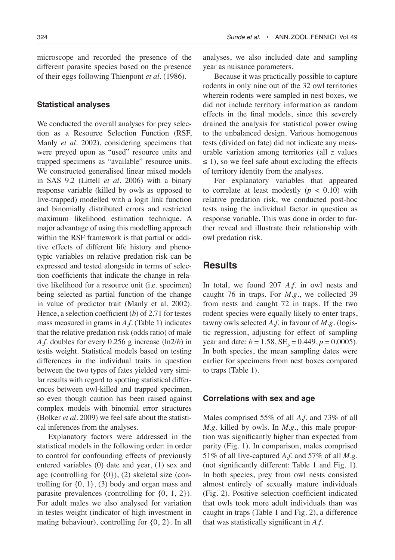microscope and recorded the presence of the different parasite species based on the presence of their eggs following Thienpont *et al.* (1986).

#### **Statistical analyses**

We conducted the overall analyses for prey selection as a Resource Selection Function (RSF, Manly *et al.* 2002), considering specimens that were preyed upon as "used" resource units and trapped specimens as "available" resource units. We constructed generalised linear mixed models in SAS 9.2 (Littell *et al*. 2006) with a binary response variable (killed by owls as opposed to live-trapped) modelled with a logit link function and binomially distributed errors and restricted maximum likelihood estimation technique. A major advantage of using this modelling approach within the RSF framework is that partial or additive effects of different life history and phenotypic variables on relative predation risk can be expressed and tested alongside in terms of selection coefficients that indicate the change in relative likelihood for a resource unit (i.e. specimen) being selected as partial function of the change in value of predictor trait (Manly et al. 2002). Hence, a selection coefficient (*b*) of 2.71 for testes mass measured in grams in *A.f.* (Table 1) indicates that the relative predation risk (odds ratio) of male *A.f.* doubles for every 0.256 g increase (ln2/*b*) in testis weight. Statistical models based on testing differences in the individual traits in question between the two types of fates yielded very similar results with regard to spotting statistical differences between owl-killed and trapped specimen, so even though caution has been raised against complex models with binomial error structures (Bolker *et al.* 2009) we feel safe about the statistical inferences from the analyses.

Explanatory factors were addressed in the statistical models in the following order: in order to control for confounding effects of previously entered variables (0) date and year, (1) sex and age (controlling for  $\{0\}$ ), (2) skeletal size (controlling for  $\{0, 1\}$ ,  $(3)$  body and organ mass and parasite prevalences (controlling for {0, 1, 2}). For adult males we also analysed for variation in testes weight (indicator of high investment in mating behaviour), controlling for {0, 2}. In all

analyses, we also included date and sampling year as nuisance parameters.

Because it was practically possible to capture rodents in only nine out of the 32 owl territories wherein rodents were sampled in nest boxes, we did not include territory information as random effects in the final models, since this severely drained the analysis for statistical power owing to the unbalanced design. Various homogenous tests (divided on fate) did not indicate any measurable variation among territories (all *z* values  $\leq$  1), so we feel safe about excluding the effects of territory identity from the analyses.

For explanatory variables that appeared to correlate at least modestly  $(p < 0.10)$  with relative predation risk, we conducted post-hoc tests using the individual factor in question as response variable. This was done in order to further reveal and illustrate their relationship with owl predation risk.

## **Results**

In total, we found 207 *A.f.* in owl nests and caught 76 in traps. For *M.g.*, we collected 39 from nests and caught 72 in traps. If the two rodent species were equally likely to enter traps, tawny owls selected *A.f.* in favour of *M.g.* (logistic regression, adjusting for effect of sampling year and date:  $b = 1.58$ ,  $SE_b = 0.449$ ,  $p = 0.0005$ ). In both species, the mean sampling dates were earlier for specimens from nest boxes compared to traps (Table 1).

#### **Correlations with sex and age**

Males comprised 55% of all *A.f.* and 73% of all *M.g.* killed by owls. In *M.g*., this male proportion was significantly higher than expected from parity (Fig. 1). In comparison, males comprised 51% of all live-captured *A.f.* and 57% of all *M.g.* (not significantly different: Table 1 and Fig. 1). In both species, prey from owl nests consisted almost entirely of sexually mature individuals (Fig. 2). Positive selection coefficient indicated that owls took more adult individuals than was caught in traps (Table 1 and Fig. 2), a difference that was statistically significant in *A.f.*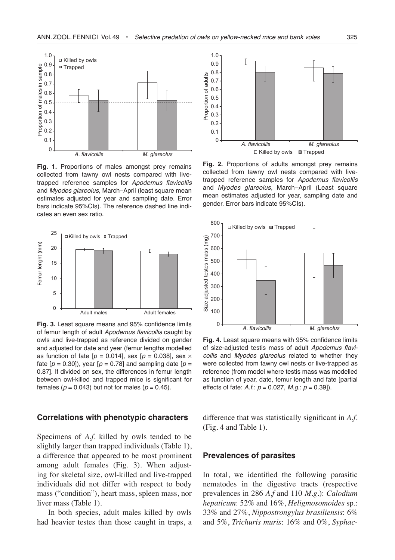

**Fig. 1.** Proportions of males amongst prey remains collected from tawny owl nests compared with livetrapped reference samples for Apodemus flavicollis and Myodes glareolus, March–April (least square mean estimates adjusted for year and sampling date. Error bars indicate 95%CIs). The reference dashed line indicates an even sex ratio.



**Fig. 3.** Least square means and 95% confidence limits of femur length of adult Apodemus flavicollis caught by owls and live-trapped as reference divided on gender and adjusted for date and year (femur lengths modelled as function of fate  $[p = 0.014]$ , sex  $[p = 0.038]$ , sex  $\times$ fate  $[p = 0.30]$ , year  $[p = 0.78]$  and sampling date  $[p = 1.30]$ 0.87]. If divided on sex, the differences in femur length between owl-killed and trapped mice is significant for females ( $p = 0.043$ ) but not for males ( $p = 0.45$ ).

#### **Correlations with phenotypic characters**

Specimens of *A.f.* killed by owls tended to be slightly larger than trapped individuals (Table 1), a difference that appeared to be most prominent among adult females (Fig. 3). When adjusting for skeletal size, owl-killed and live-trapped individuals did not differ with respect to body mass ("condition"), heart mass, spleen mass, nor liver mass (Table 1).

In both species, adult males killed by owls had heavier testes than those caught in traps, a



**Fig. 2.** Proportions of adults amongst prey remains collected from tawny owl nests compared with livetrapped reference samples for Apodemus flavicollis and Myodes glareolus, March–April (Least square mean estimates adjusted for year, sampling date and gender. Error bars indicate 95%CIs).



**Fig. 4.** Least square means with 95% confidence limits of size-adjusted testis mass of adult Apodemus flavicollis and Myodes glareolus related to whether they were collected from tawny owl nests or live-trapped as reference (from model where testis mass was modelled as function of year, date, femur length and fate [partial effects of fate:  $A.f.: p = 0.027, M.g.: p = 0.39$ ].

difference that was statistically significant in *A.f.* (Fig. 4 and Table 1).

#### **Prevalences of parasites**

In total, we identified the following parasitic nematodes in the digestive tracts (respective prevalences in 286 *A.f* and 110 *M.g.*): *Calodium hepaticum*: 52% and 16%, *Heligmosomoides* sp.: 33% and 27%, *Nippostrongylus brasiliensis*: 6% and 5%, *Trichuris muris*: 16% and 0%, *Syphac-*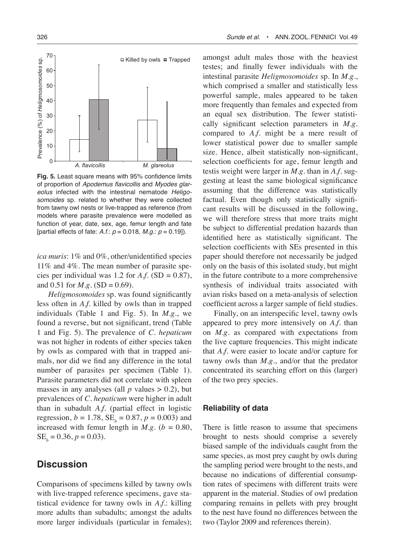

**Fig. 5.** Least square means with 95% confidence limits of proportion of Apodemus flavicollis and Myodes glareolus infected with the intestinal nematode Heligosomoides sp. related to whether they were collected from tawny owl nests or live-trapped as reference (from models where parasite prevalence were modelled as function of year, date, sex, age, femur length and fate [partial effects of fate:  $A.f.: p = 0.018, M.g.: p = 0.19$ ].

*ica muris*: 1% and 0%, other/unidentified species 11% and 4%. The mean number of parasite species per individual was 1.2 for  $A.f.$  (SD = 0.87), and 0.51 for  $M.g.$  (SD = 0.69).

*Heligmosomoides* sp. was found significantly less often in *A.f.* killed by owls than in trapped individuals (Table 1 and Fig. 5). In *M.g*., we found a reverse, but not significant, trend (Table 1 and Fig. 5). The prevalence of *C. hepaticum* was not higher in rodents of either species taken by owls as compared with that in trapped animals, nor did we find any difference in the total number of parasites per specimen (Table 1). Parasite parameters did not correlate with spleen masses in any analyses (all  $p$  values  $> 0.2$ ), but prevalences of *C. hepaticum* were higher in adult than in subadult *A.f*. (partial effect in logistic regression,  $b = 1.78$ ,  $SE_b = 0.87$ ,  $p = 0.003$ ) and increased with femur length in *M.g.* ( $b = 0.80$ ,  $SE_b = 0.36, p = 0.03$ .

## **Discussion**

Comparisons of specimens killed by tawny owls with live-trapped reference specimens, gave statistical evidence for tawny owls in *A.f*.: killing more adults than subadults; amongst the adults more larger individuals (particular in females); amongst adult males those with the heaviest testes; and finally fewer individuals with the intestinal parasite *Heligmosomoides* sp. In *M.g*., which comprised a smaller and statistically less powerful sample, males appeared to be taken more frequently than females and expected from an equal sex distribution. The fewer statistically significant selection parameters in *M.g*. compared to *A.f*. might be a mere result of lower statistical power due to smaller sample size. Hence, albeit statistically non-significant, selection coefficients for age, femur length and testis weight were larger in *M.g.* than in *A.f*. suggesting at least the same biological significance assuming that the difference was statistically factual. Even though only statistically significant results will be discussed in the following, we will therefore stress that more traits might be subject to differential predation hazards than identified here as statistically significant. The selection coefficients with SEs presented in this paper should therefore not necessarily be judged only on the basis of this isolated study, but might in the future contribute to a more comprehensive synthesis of individual traits associated with avian risks based on a meta-analysis of selection coefficient across a larger sample of field studies.

Finally, on an interspecific level, tawny owls appeared to prey more intensively on *A.f.* than on *M.g.* as compared with expectations from the live capture frequencies. This might indicate that *A.f.* were easier to locate and/or capture for tawny owls than *M.g*., and/or that the predator concentrated its searching effort on this (larger) of the two prey species.

### **Reliability of data**

There is little reason to assume that specimens brought to nests should comprise a severely biased sample of the individuals caught from the same species, as most prey caught by owls during the sampling period were brought to the nests, and because no indications of differential consumption rates of specimens with different traits were apparent in the material. Studies of owl predation comparing remains in pellets with prey brought to the nest have found no differences between the two (Taylor 2009 and references therein).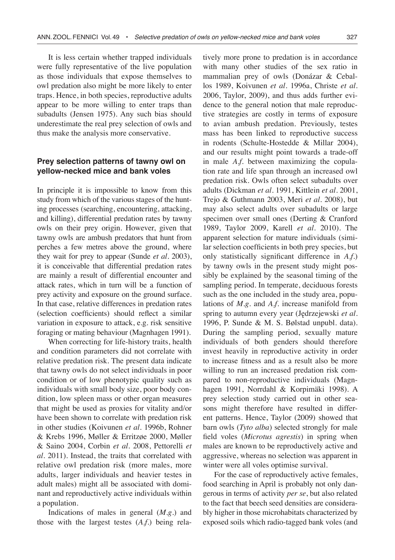It is less certain whether trapped individuals were fully representative of the live population as those individuals that expose themselves to owl predation also might be more likely to enter traps. Hence, in both species, reproductive adults appear to be more willing to enter traps than subadults (Jensen 1975). Any such bias should underestimate the real prey selection of owls and thus make the analysis more conservative.

## **Prey selection patterns of tawny owl on yellow-necked mice and bank voles**

In principle it is impossible to know from this study from which of the various stages of the hunting processes (searching, encountering, attacking, and killing), differential predation rates by tawny owls on their prey origin. However, given that tawny owls are ambush predators that hunt from perches a few metres above the ground, where they wait for prey to appear (Sunde *et al.* 2003), it is conceivable that differential predation rates are mainly a result of differential encounter and attack rates, which in turn will be a function of prey activity and exposure on the ground surface. In that case, relative differences in predation rates (selection coefficients) should reflect a similar variation in exposure to attack, e.g. risk sensitive foraging or mating behaviour (Magnhagen 1991).

When correcting for life-history traits, health and condition parameters did not correlate with relative predation risk. The present data indicate that tawny owls do not select individuals in poor condition or of low phenotypic quality such as individuals with small body size, poor body condition, low spleen mass or other organ measures that might be used as proxies for vitality and/or have been shown to correlate with predation risk in other studies (Koivunen *et al.* 1996b, Rohner & Krebs 1996, Møller & Erritzøe 2000, Møller & Saino 2004, Corbin *et al.* 2008, Pettorelli *et al.* 2011). Instead, the traits that correlated with relative owl predation risk (more males, more adults, larger individuals and heavier testes in adult males) might all be associated with dominant and reproductively active individuals within a population.

Indications of males in general (*M.g*.) and those with the largest testes (*A.f*.) being relatively more prone to predation is in accordance with many other studies of the sex ratio in mammalian prey of owls (Donázar & Ceballos 1989, Koivunen *et al.* 1996a, Christe *et al.* 2006, Taylor, 2009), and thus adds further evidence to the general notion that male reproductive strategies are costly in terms of exposure to avian ambush predation. Previously, testes mass has been linked to reproductive success in rodents (Schulte-Hostedde & Millar 2004), and our results might point towards a trade-off in male *A.f.* between maximizing the copulation rate and life span through an increased owl predation risk. Owls often select subadults over adults (Dickman *et al.* 1991, Kittlein *et al.* 2001, Trejo & Guthmann 2003, Meri *et al.* 2008), but may also select adults over subadults or large specimen over small ones (Derting & Cranford 1989, Taylor 2009, Karell *et al*. 2010). The apparent selection for mature individuals (similar selection coefficients in both prey species, but only statistically significant difference in *A.f.*) by tawny owls in the present study might possibly be explained by the seasonal timing of the sampling period. In temperate, deciduous forests such as the one included in the study area, populations of *M.g*. and *A.f.* increase manifold from spring to autumn every year (Jędrzejewski *et al.* 1996, P. Sunde & M. S. Bølstad unpubl. data). During the sampling period, sexually mature individuals of both genders should therefore invest heavily in reproductive activity in order to increase fitness and as a result also be more willing to run an increased predation risk compared to non-reproductive individuals (Magnhagen 1991, Norrdahl & Korpimäki 1998). A prey selection study carried out in other seasons might therefore have resulted in different patterns. Hence, Taylor (2009) showed that barn owls (*Tyto alba*) selected strongly for male field voles (*Microtus agrestis*) in spring when males are known to be reproductively active and aggressive, whereas no selection was apparent in winter were all voles optimise survival.

For the case of reproductively active females, food searching in April is probably not only dangerous in terms of activity *per se*, but also related to the fact that beech seed densities are considerably higher in those microhabitats characterized by exposed soils which radio-tagged bank voles (and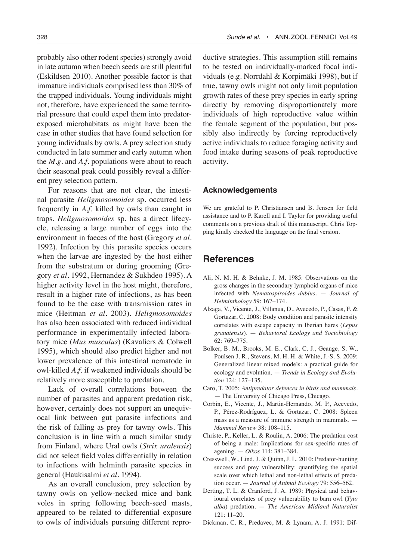probably also other rodent species) strongly avoid in late autumn when beech seeds are still plentiful (Eskildsen 2010). Another possible factor is that immature individuals comprised less than 30% of the trapped individuals. Young individuals might not, therefore, have experienced the same territorial pressure that could expel them into predatorexposed microhabitats as might have been the case in other studies that have found selection for young individuals by owls. A prey selection study conducted in late summer and early autumn when the *M.g*. and *A.f.* populations were about to reach their seasonal peak could possibly reveal a different prey selection pattern.

For reasons that are not clear, the intestinal parasite *Heligmosomoides* sp. occurred less frequently in *A.f*. killed by owls than caught in traps. *Heligmosomoides* sp. has a direct lifecycle, releasing a large number of eggs into the environment in faeces of the host (Gregory *et al.* 1992). Infection by this parasite species occurs when the larvae are ingested by the host either from the substratum or during grooming (Gregory *et al.* 1992, Hernandez & Sukhdeo 1995). A higher activity level in the host might, therefore, result in a higher rate of infections, as has been found to be the case with transmission rates in mice (Heitman *et al.* 2003). *Heligmosomoides* has also been associated with reduced individual performance in experimentally infected laboratory mice (*Mus musculus*) (Kavaliers & Colwell 1995), which should also predict higher and not lower prevalence of this intestinal nematode in owl-killed *A.f.* if weakened individuals should be relatively more susceptible to predation.

Lack of overall correlations between the number of parasites and apparent predation risk, however, certainly does not support an unequivocal link between gut parasite infections and the risk of falling as prey for tawny owls. This conclusion is in line with a much similar study from Finland, where Ural owls (*Strix uralensis*) did not select field voles differentially in relation to infections with helminth parasite species in general (Haukisalmi *et al.* 1994).

As an overall conclusion, prey selection by tawny owls on yellow-necked mice and bank voles in spring following beech-seed masts, appeared to be related to differential exposure to owls of individuals pursuing different reproductive strategies. This assumption still remains to be tested on individually-marked focal individuals (e.g. Norrdahl & Korpimäki 1998), but if true, tawny owls might not only limit population growth rates of these prey species in early spring directly by removing disproportionately more individuals of high reproductive value within the female segment of the population, but possibly also indirectly by forcing reproductively active individuals to reduce foraging activity and food intake during seasons of peak reproductive activity.

#### **Acknowledgements**

We are grateful to P. Christiansen and B. Jensen for field assistance and to P. Karell and I. Taylor for providing useful comments on a previous draft of this manuscript. Chris Topping kindly checked the language on the final version.

# **References**

- Ali, N. M. H. & Behnke, J. M. 1985: Observations on the gross changes in the secondary lymphoid organs of mice infected with *Nematospiroides dubius*. — *Journal of Helminthology* 59: 167–174.
- Alzaga, V., Vicente, J., Villanua, D., Avecedo, P., Casas, F. & Gortazar, C. 2008: Body condition and parasite intensity correlates with escape capacity in Iberian hares (*Lepus granatensis*). — *Behavioral Ecology and Sociobiology* 62: 769–775.
- Bolker, B. M., Brooks, M. E., Clark, C. J., Geange, S. W., Poulsen J. R., Stevens, M. H. H. & White, J.-S. S. 2009: Generalized linear mixed models: a practical guide for ecology and evolution. — *Trends in Ecology and Evolution* 124: 127–135.
- Caro, T. 2005: *Antipredator defences in birds and mammals.* — The University of Chicago Press, Chicago.
- Corbin, E., Vicente, J., Martin-Hernando, M. P., Acevedo, P., Pérez-Rodríguez, L. & Gortazar, C. 2008: Spleen mass as a measure of immune strength in mammals. — *Mammal Review* 38: 108–115.
- Christe, P., Keller, L. & Roulin, A. 2006: The predation cost of being a male: Implications for sex-specific rates of agening. — *Oikos* 114: 381–384.
- Cresswell, W., Lind, J. & Quinn, J. L. 2010: Predator-hunting success and prey vulnerability: quantifying the spatial scale over which lethal and non-lethal effects of predation occur. — *Journal of Animal Ecology* 79: 556–562.
- Derting, T. L. & Cranford, J. A. 1989: Physical and behavioural correlates of prey vulnerability to barn owl (*Tyto alba*) predation. — *The American Midland Naturalist*  121: 11–20.
- Dickman, C. R., Predavec, M. & Lynam, A. J. 1991: Dif-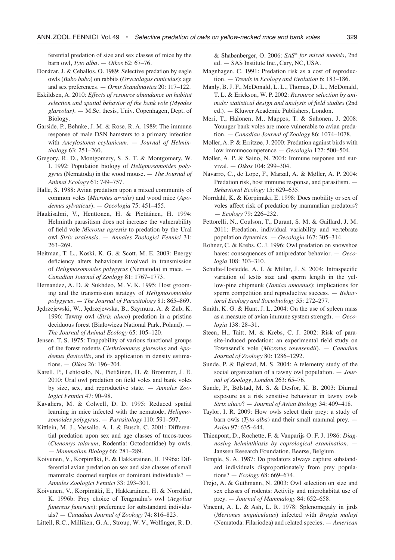ferential predation of size and sex classes of mice by the barn owl, *Tyto alba*. — *Oikos* 62: 67–76.

- Donázar, J. & Ceballos, O. 1989: Selective predation by eagle owls (*Bubo bubo*) on rabbits (*Oryctolagus cuniculus*): age and sex preferences. — *Ornis Scandinavica* 20: 117–122.
- Eskildsen, A. 2010: *Effects of resource abundance on habitat selection and spatial behavior of the bank vole (Myodes glareolus)*. — M.Sc. thesis, Univ. Copenhagen, Dept. of Biology.
- Garside, P., Behnke, J. M. & Rose, R. A. 1989: The immune response of male DSN hamsters to a primary infection with *Ancylostoma ceylanicum*. — *Journal of Helminthology* 63: 251–260.
- Gregory, R. D., Montgomery, S. S. T. & Montgomery, W. I. 1992: Population biology of *Heligmosomoides polygyrus* (Nematoda) in the wood mouse. — *The Journal of Animal Ecology* 61: 749–757.
- Halle, S. 1988: Avian predation upon a mixed community of common voles (*Microtus arvalis*) and wood mice (*Apodemus sylvaticus*). — *Oecologia* 75: 451–455.
- Haukisalmi, V., Henttonen, H. & Pietiäinen, H. 1994: Helminth parasitism does not increase the vulnerability of field vole *Microtus agrestis* to predation by the Ural owl *Strix uralensis.* — *Annales Zoologici Fennici* 31: 263–269.
- Heitman, T. L., Koski, K. G. & Scott, M. E. 2003: Energy deficiency alters behaviours involved in transmission of *Heligmosomoides polygyrus* (Nematoda) in mice. — *Canadian Journal of Zoology* 81: 1767–1773.
- Hernandez, A. D. & Sukhdeo, M. V. K. 1995: Host grooming and the transmission strategy of *Heligmosomoides polygyrus*. — *The Journal of Parasitology* 81: 865–869.
- Jędrzejewski, W., Jędrzejewska, B., Szymura, A. & Zub, K. 1996: Tawny owl (*Strix aluco*) predation in a pristine deciduous forest (Białowieża National Park, Poland). — *The Journal of Animal Ecology* 65: 105–120.
- Jensen, T. S. 1975: Trappability of various functional groups of the forest rodents *Clethrionomys glareolus* and *Apodemus flavicollis*, and its application in density estimations. — *Oikos* 26: 196–204.
- Karell, P., Lehtosalo, N., Pietiäinen, H. & Brommer, J. E. 2010: Ural owl predation on field voles and bank voles by size, sex, and reproductive state. — *Annales Zoologici Fennici* 47: 90–98.
- Kavaliers, M. & Colwell, D. D. 1995: Reduced spatial learning in mice infected with the nematode, *Heligmosomoides polygyrus*. — *Parasitology* 110: 591–597.
- Kittlein, M. J., Vassallo, A. I. & Busch, C. 2001: Differential predation upon sex and age classes of tucos-tucos (*Ctenomys talarum*, Rodentia: Octodontidae) by owls. — *Mammalian Biology* 66: 281–289.
- Koivunen, V., Korpimäki, E. & Hakkarainen, H. 1996a: Differential avian predation on sex and size classes of small mammals: doomed surplus or dominant individuals? — *Annales Zoologici Fennici* 33: 293–301.
- Koivunen, V., Korpimäki, E., Hakkarainen, H. & Norrdahl, K. 1996b: Prey choice of Tengmalm's owl (*Aegolius funereus funereus*): preference for substandard individuals? — *Canadian Journal of Zoology* 74: 816–823.

Littell, R.C., Milliken, G. A., Stroup, W. V., Wolfinger, R. D.

& Shabenberger, O. 2006: *SAS*® *for mixed models*, 2nd ed. — SAS Institute Inc., Cary, NC, USA.

- Magnhagen, C. 1991: Predation risk as a cost of reproduction. — *Trends in Ecology and Evolution* 6: 183–186.
- Manly, B. J. F., McDonald, L. L., Thomas, D. L., McDonald, T. L. & Erickson, W. P. 2002: *Resource selection by animals: statistical design and analysis of field studies* (2nd ed.)*.* — Kluwer Academic Publishers, London.
- Meri, T., Halonen, M., Mappes, T. & Suhonen, J. 2008: Younger bank voles are more vulnerable to avian predation. — *Canadian Journal of Zoology* 86: 1074–1078.
- Møller, A. P. & Erritzøe, J. 2000: Predation against birds with low immunocompetence — *Oecologia* 122: 500–504.
- Møller, A. P. & Saino, N. 2004: Immune response and survival. — *Oikos* 104: 299–304.
- Navarro, C., de Lope, F., Marzal, A. & Møller, A. P. 2004: Predation risk, host immune response, and parasitism. — *Behavioral Ecology* 15: 629–635.
- Norrdahl, K. & Korpimäki, E. 1998: Does mobility or sex of voles affect risk of predation by mammalian predators? — *Ecology* 79: 226–232.
- Pettorelli, N., Coulson, T., Durant, S. M. & Gaillard, J. M. 2011: Predation, individual variability and vertebrate population dynamics. — *Oecologia* 167: 305–314.
- Rohner, C. & Krebs, C. J. 1996: Owl predation on snowshoe hares: consequences of antipredator behavior. — *Oecologia* 108: 303–310.
- Schulte-Hostedde, A. I. & Millar, J. S. 2004: Intraspecific variation of testis size and sperm length in the yellow-pine chipmunk (*Tamias amoenus*): implications for sperm competition and reproductive success. — *Behavioral Ecology and Sociobiology* 55: 272–277.
- Smith, K. G. & Hunt, J. L. 2004: On the use of spleen mass as a measure of avian immune system strength. — *Oecologia* 138: 28–31.
- Steen, H., Taitt, M. & Krebs, C. J. 2002: Risk of parasite-induced predation: an experimental field study on Townsend's vole (*Microtus townsendii*). — *Canadian Journal of Zoology* 80: 1286–1292.
- Sunde, P. & Bølstad, M. S. 2004: A telemetry study of the social organization of a tawny owl population. — *Journal of Zoology*, *London* 263: 65–76.
- Sunde, P., Bølstad, M. S. & Desfor, K. B. 2003: Diurnal exposure as a risk sensitive behaviour in tawny owls *Strix aluco*? — *Journal of Avian Biology* 34: 409–418.
- Taylor, I. R. 2009: How owls select their prey: a study of barn owls (*Tyto alba*) and their small mammal prey. — *Ardea* 97: 635–644.
- Thienpont, D., Rochette, F. & Vanparijs O. F. J. 1986: *Diagnosing helminthiasis by coprological examination*. — Janssen Research Foundation, Beerse, Belgium.
- Temple, S. A. 1987: Do predators always capture substandard individuals disproportionately from prey populations? — *Ecology* 68: 669–674.
- Trejo, A. & Guthmann, N. 2003: Owl selection on size and sex classes of rodents: Activity and microhabitat use of prey. — *Journal of Mammalogy* 84: 652–658.
- Vincent, A. L. & Ash, L. R. 1978: Splenomegaly in jirds (*Meriones unguiculatus*) infected with *Brugia malayi*  (Nematoda: Filariodea) and related species. — *American*